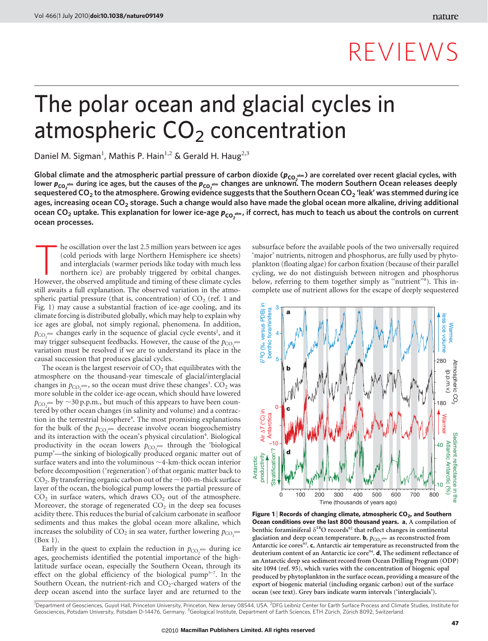# REVIEWS

# The polar ocean and glacial cycles in atmospheric  $CO<sub>2</sub>$  concentration

Daniel M. Sigman<sup>1</sup>, Mathis P. Hain<sup>1,2</sup> & Gerald H. Haug<sup>2,3</sup>

Global climate and the atmospheric partial pressure of carbon dioxide ( $p_{CO}^{\text{atm}}$ ) are correlated over recent glacial cycles, with  $p_{C}$  atmospheric partial pressure of carbon dioxide ( $p_{CO}^{\text{atm}}$ ) are correlated ov lower  $p_{CO_2^{\text{atm}}}$  during ice ages, but the causes of the  $p_{CO_2^{\text{atm}}}$  changes are unknown. The modern Southern Ocean releases deeply sequestered CO<sub>2</sub> to the atmosphere. Growing evidence suggests that the Southern Ocean CO<sub>2</sub> 'leak' was stemmed during ice ages, increasing ocean CO<sub>2</sub> storage. Such a change would also have made the global ocean more alkaline, driving additional ocean CO<sub>2</sub> uptake. This explanation for lower ice-age  $p_{\mathsf{co}_2^{\mathsf{atm}}}$ , if correct, has much to teach us about the controls on current ocean processes.

he oscillation over the last 2.5 million years between ice ages (cold periods with large Northern Hemisphere ice sheets) and interglacials (warmer periods like today with much less northern ice) are probably triggered by orbital changes. However, the observed amplitude and timing of these climate cycles still awaits a full explanation. The observed variation in the atmospheric partial pressure (that is, concentration) of  $CO<sub>2</sub>$  (ref. 1 and Fig. 1) may cause a substantial fraction of ice-age cooling, and its climate forcing is distributed globally, which may help to explain why ice ages are global, not simply regional, phenomena. In addition,  $p_{CO_2}$ <sup>atm</sup> changes early in the sequence of glacial cycle events<sup>2</sup>, and it may trigger subsequent feedbacks. However, the cause of the  $p_{CO, \text{atm}}$ variation must be resolved if we are to understand its place in the causal succession that produces glacial cycles.

The ocean is the largest reservoir of  $CO<sub>2</sub>$  that equilibrates with the atmosphere on the thousand-year timescale of glacial/interglacial changes in  $p_{CO_2}$ <sup>atm</sup>, so the ocean must drive these changes<sup>3</sup>.  $CO_2$  was more soluble in the colder ice-age ocean, which should have lowered  $p_{CO_2^{\text{atm}}}$  by  $\sim$ 30 p.p.m., but much of this appears to have been countered by other ocean changes (in salinity and volume) and a contraction in the terrestrial biosphere<sup>4</sup>. The most promising explanations for the bulk of the  $p_{CO_2^{\text{atm}}}$  decrease involve ocean biogeochemistry and its interaction with the ocean's physical circulation<sup>4</sup>. Biological productivity in the ocean lowers  $p_{CO_2^{\text{atm}}}$  through the 'biological pump'—the sinking of biologically produced organic matter out of surface waters and into the voluminous  $\sim$  4-km-thick ocean interior before decomposition ('regeneration') of that organic matter back to  $CO<sub>2</sub>$ . By transferring organic carbon out of the  $\sim$ 100-m-thick surface layer of the ocean, the biological pump lowers the partial pressure of  $CO<sub>2</sub>$  in surface waters, which draws  $CO<sub>2</sub>$  out of the atmosphere. Moreover, the storage of regenerated  $CO<sub>2</sub>$  in the deep sea focuses acidity there. This reduces the burial of calcium carbonate in seafloor sediments and thus makes the global ocean more alkaline, which increases the solubility of  $CO_2$  in sea water, further lowering  $p_{CO_2}$ <sup>atm</sup> (Box 1).

Early in the quest to explain the reduction in  $p_{CO_2^{\text{atm}}}$  during ice ages, geochemists identified the potential importance of the highlatitude surface ocean, especially the Southern Ocean, through its effect on the global efficiency of the biological pump<sup>5–7</sup>. In the Southern Ocean, the nutrient-rich and  $CO_2$ -charged waters of the deep ocean ascend into the surface layer and are returned to the subsurface before the available pools of the two universally required 'major' nutrients, nitrogen and phosphorus, are fully used by phytoplankton (floating algae) for carbon fixation (because of their parallel cycling, we do not distinguish between nitrogen and phosphorus below, referring to them together simply as "nutrient"<sup>8</sup>). This incomplete use of nutrient allows for the escape of deeply sequestered



Figure 1 | Records of changing climate, atmospheric  $CO<sub>2</sub>$ , and Southern Ocean conditions over the last 800 thousand years. a, A compilation of benthic foraminiferal  $\delta^{18}\mathrm{O}$  records $^{92}$  that reflect changes in continental glaciation and deep ocean temperature. **b**,  $p_{CO_2}$ <sub>atm</sub> as reconstructed from Antarctic ice cores<sup>93</sup>. c, Antarctic air temperature as reconstructed from the deuterium content of an Antarctic ice core<sup>94</sup>. d, The sediment reflectance of an Antarctic deep sea sediment record from Ocean Drilling Program (ODP) site 1094 (ref. 95), which varies with the concentration of biogenic opal produced by phytoplankton in the surface ocean, providing a measure of the export of biogenic material (including organic carbon) out of the surface ocean (see text). Grey bars indicate warm intervals ('interglacials').

<sup>1</sup>Department of Geosciences, Guyot Hall, Princeton University, Princeton, New Jersey 08544, USA. <sup>2</sup>DFG Leibniz Center for Earth Surface Process and Climate Studies, Institute for Geosciences, Potsdam University, Potsdam D-14476, Germany. <sup>3</sup>Geological Institute, Department of Earth Sciences, ETH Zürich, Zürich 8092, Switzerland.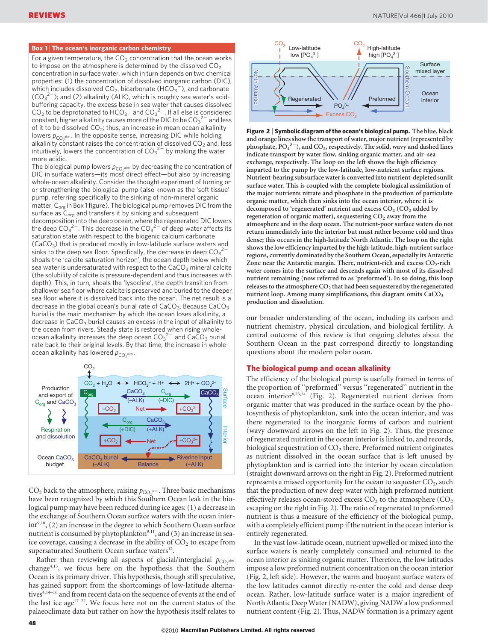#### Box 1 | The ocean's inorganic carbon chemistry

For a given temperature, the  $CO<sub>2</sub>$  concentration that the ocean works to impose on the atmosphere is determined by the dissolved  $CO<sub>2</sub>$ concentration in surface water, which in turn depends on two chemical properties: (1) the concentration of dissolved inorganic carbon (DIC), which includes dissolved  $CO<sub>2</sub>$ , bicarbonate (HCO<sub>3</sub><sup>-</sup>), and carbonate  $(CO_3^2)$ ; and (2) alkalinity (ALK), which is roughly sea water's acidbuffering capacity, the excess base in sea water that causes dissolved  $CO_2$  to be deprotonated to HCO<sub>3</sub><sup>-</sup> and CO<sub>3</sub><sup>2-</sup>. If all else is considered constant, higher alkalinity causes more of the DIC to be  $\mathsf{CO_3}^{2-}$  and less of it to be dissolved  $CO<sub>2</sub>$ ; thus, an increase in mean ocean alkalinity lowers  $p_{CO_2^{\text{atm}}}$ . In the opposite sense, increasing DIC while holding alkalinity constant raises the concentration of dissolved  $CO<sub>2</sub>$  and, less intuitively, lowers the concentration of  $CO_3^2$  by making the water more acidic.

The biological pump lowers  $p_{CO_2^{\text{atm}}}$  by decreasing the concentration of DIC in surface waters—its most direct effect—but also by increasing whole-ocean alkalinity. Consider the thought experiment of turning on or strengthening the biological pump (also known as the 'soft tissue' pump, referring specifically to the sinking of non-mineral organic matter,  $C_{org}$  in Box 1 figure). The biological pump removes DIC from the surface as  $\bar{C}_{org}$  and transfers it by sinking and subsequent decomposition into the deep ocean, where the regenerated DIC lowers the deep CO $_3{}^{2-}$ . This decrease in the CO $_3{}^{2-}$  of deep water affects its saturation state with respect to the biogenic calcium carbonate  $(CaCO<sub>3</sub>)$  that is produced mostly in low-latitude surface waters and sinks to the deep sea floor. Specifically, the decrease in deep  $\mathsf{CO_3}^{2-}$ shoals the 'calcite saturation horizon', the ocean depth below which sea water is undersaturated with respect to the  $CaCO<sub>3</sub>$  mineral calcite (the solubility of calcite is pressure-dependent and thus increases with depth). This, in turn, shoals the 'lysocline', the depth transition from shallower sea floor where calcite is preserved and buried to the deeper sea floor where it is dissolved back into the ocean. The net result is a decrease in the global ocean's burial rate of  $CaCO<sub>3</sub>$ . Because  $CaCO<sub>3</sub>$ burial is the main mechanism by which the ocean loses alkalinity, a decrease in  $CaCO<sub>3</sub>$  burial causes an excess in the input of alkalinity to the ocean from rivers. Steady state is restored when rising wholeocean alkalinity increases the deep ocean  $\overline{\text{CO}_{3}}^{2-}$  and  $\overline{\text{CaCO}_{3}}$  burial rate back to their original levels. By that time, the increase in wholeocean alkalinity has lowered  $p_{\text{CO}_2^{\text{atm}}}.$ 



 $CO<sub>2</sub>$  back to the atmosphere, raising  $p_{CO_2}$ <sup>atm</sup>. Three basic mechanisms have been recognized by which this Southern Ocean leak in the biological pump may have been reduced during ice ages: (1) a decrease in the exchange of Southern Ocean surface waters with the ocean interior<sup>9,10</sup>, (2) an increase in the degree to which Southern Ocean surface nutrient is consumed by phytoplankton<sup>9,11</sup>, and (3) an increase in seaice coverage, causing a decrease in the ability of  $CO<sub>2</sub>$  to escape from supersaturated Southern Ocean surface waters<sup>12</sup>.

Rather than reviewing all aspects of glacial/interglacial  $p_{CO, atm}$ change<sup>4,13</sup>, we focus here on the hypothesis that the Southern Ocean is its primary driver. This hypothesis, though still speculative, has gained support from the shortcomings of low-latitude alternatives<sup>4,14-16</sup> and from recent data on the sequence of events at the end of the last ice age $17-22$ . We focus here not on the current status of the palaeoclimate data but rather on how the hypothesis itself relates to



Figure 2 | Symbolic diagram of the ocean's biological pump. The blue, black and orange lines show the transport of water, major nutrient (represented by phosphate,  $PO_4^3$ <sup>-3</sup>), and  $CO_2$ , respectively. The solid, wavy and dashed lines indicate transport by water flow, sinking organic matter, and air–sea exchange, respectively. The loop on the left shows the high efficiency imparted to the pump by the low-latitude, low-nutrient surface regions. Nutrient-bearing subsurface water is converted into nutrient-depleted sunlit surface water. This is coupled with the complete biological assimilation of the major nutrients nitrate and phosphate in the production of particulate organic matter, which then sinks into the ocean interior, where it is decomposed to 'regenerated' nutrient and excess  $CO<sub>2</sub>$  ( $CO<sub>2</sub>$  added by regeneration of organic matter), sequestering  $CO<sub>2</sub>$  away from the atmosphere and in the deep ocean. The nutrient-poor surface waters do not return immediately into the interior but must rather become cold and thus dense; this occurs in the high-latitude North Atlantic. The loop on the right shows the low efficiency imparted by the high-latitude, high-nutrient surface regions, currently dominated by the Southern Ocean, especially its Antarctic Zone near the Antarctic margin. There, nutrient-rich and excess  $CO<sub>2</sub>$ -rich water comes into the surface and descends again with most of its dissolved nutrient remaining (now referred to as 'preformed'). In so doing, this loop releases to the atmosphere  $CO<sub>2</sub>$  that had been sequestered by the regenerated nutrient loop. Among many simplifications, this diagram omits  $CaCO<sub>3</sub>$ production and dissolution.

our broader understanding of the ocean, including its carbon and nutrient chemistry, physical circulation, and biological fertility. A central outcome of this review is that ongoing debates about the Southern Ocean in the past correspond directly to longstanding questions about the modern polar ocean.

#### The biological pump and ocean alkalinity

The efficiency of the biological pump is usefully framed in terms of the proportion of ''preformed'' versus ''regenerated'' nutrient in the ocean interior<sup>8,23,24</sup> (Fig. 2). Regenerated nutrient derives from organic matter that was produced in the surface ocean by the photosynthesis of phytoplankton, sank into the ocean interior, and was there regenerated to the inorganic forms of carbon and nutrient (wavy downward arrows on the left in Fig. 2). Thus, the presence of regenerated nutrient in the ocean interior is linked to, and records, biological sequestration of  $CO<sub>2</sub>$  there. Preformed nutrient originates as nutrient dissolved in the ocean surface that is left unused by phytoplankton and is carried into the interior by ocean circulation (straight downward arrows on the right in Fig. 2). Preformed nutrient represents a missed opportunity for the ocean to sequester  $CO<sub>2</sub>$ , such that the production of new deep water with high preformed nutrient effectively releases ocean-stored excess  $CO<sub>2</sub>$  to the atmosphere  $(CO<sub>2</sub>)$ escaping on the right in Fig. 2). The ratio of regenerated to preformed nutrient is thus a measure of the efficiency of the biological pump, with a completely efficient pump if the nutrient in the ocean interior is entirely regenerated.

In the vast low-latitude ocean, nutrient upwelled or mixed into the surface waters is nearly completely consumed and returned to the ocean interior as sinking organic matter. Therefore, the low latitudes impose a low preformed nutrient concentration on the ocean interior (Fig. 2, left side). However, the warm and buoyant surface waters of the low latitudes cannot directly re-enter the cold and dense deep ocean. Rather, low-latitude surface water is a major ingredient of North Atlantic Deep Water (NADW), giving NADW a low preformed nutrient content (Fig. 2). Thus, NADW formation is a primary agent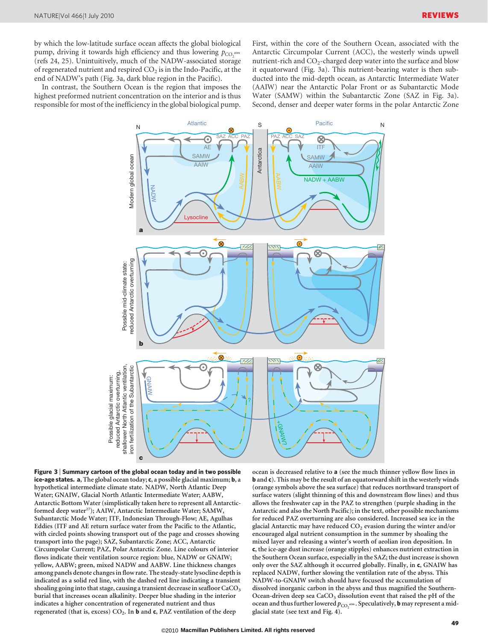by which the low-latitude surface ocean affects the global biological pump, driving it towards high efficiency and thus lowering  $p_{\text{CO}}$  atm 2 (refs 24, 25). Unintuitively, much of the NADW-associated storage of regenerated nutrient and respired  $CO<sub>2</sub>$  is in the Indo-Pacific, at the end of NADW's path (Fig. 3a, dark blue region in the Pacific).

In contrast, the Southern Ocean is the region that imposes the highest preformed nutrient concentration on the interior and is thus responsible for most of the inefficiency in the global biological pump. First, within the core of the Southern Ocean, associated with the Antarctic Circumpolar Current (ACC), the westerly winds upwell nutrient-rich and  $CO_2$ -charged deep water into the surface and blow it equatorward (Fig. 3a). This nutrient-bearing water is then subducted into the mid-depth ocean, as Antarctic Intermediate Water (AAIW) near the Antarctic Polar Front or as Subantarctic Mode Water (SAMW) within the Subantarctic Zone (SAZ in Fig. 3a). Second, denser and deeper water forms in the polar Antarctic Zone



Figure 3 <sup>|</sup> Summary cartoon of the global ocean today and in two possible ice-age states. a, The global ocean today; c, a possible glacial maximum; b, a hypothetical intermediate climate state. NADW, North Atlantic Deep Water; GNAIW, Glacial North Atlantic Intermediate Water; AABW, Antarctic Bottom Water (simplistically taken here to represent all Antarcticformed deep water<sup>27</sup>); AAIW, Antarctic Intermediate Water; SAMW, Subantarctic Mode Water; ITF, Indonesian Through-Flow; AE, Agulhas Eddies (ITF and AE return surface water from the Pacific to the Atlantic, with circled points showing transport out of the page and crosses showing transport into the page); SAZ, Subantarctic Zone; ACC, Antarctic Circumpolar Current; PAZ, Polar Antarctic Zone. Line colours of interior flows indicate their ventilation source region: blue, NADW or GNAIW; yellow, AABW; green, mixed NADW and AABW. Line thickness changes among panels denote changes in flow rate. The steady-state lysocline depth is indicated as a solid red line, with the dashed red line indicating a transient shoaling going into that stage, causing a transient decrease in seafloor CaCO<sub>3</sub> burial that increases ocean alkalinity. Deeper blue shading in the interior indicates a higher concentration of regenerated nutrient and thus regenerated (that is, excess)  $CO<sub>2</sub>$ . In **b** and **c**, PAZ ventilation of the deep

ocean is decreased relative to a (see the much thinner yellow flow lines in b and c). This may be the result of an equatorward shift in the westerly winds (orange symbols above the sea surface) that reduces northward transport of surface waters (slight thinning of this and downstream flow lines) and thus allows the freshwater cap in the PAZ to strengthen (purple shading in the Antarctic and also the North Pacific); in the text, other possible mechanisms for reduced PAZ overturning are also considered. Increased sea ice in the glacial Antarctic may have reduced  $CO<sub>2</sub>$  evasion during the winter and/or encouraged algal nutrient consumption in the summer by shoaling the mixed layer and releasing a winter's worth of aeolian iron deposition. In c, the ice-age dust increase (orange stipples) enhances nutrient extraction in the Southern Ocean surface, especially in the SAZ; the dust increase is shown only over the SAZ although it occurred globally. Finally, in c, GNAIW has replaced NADW, further slowing the ventilation rate of the abyss. This NADW-to-GNAIW switch should have focused the accumulation of dissolved inorganic carbon in the abyss and thus magnified the Southern-Ocean-driven deep sea CaCO<sub>3</sub> dissolution event that raised the pH of the ocean and thus further lowered  $p_{CO_2^{\text{atm}}}$ . Speculatively, **b** may represent a midglacial state (see text and Fig. 4).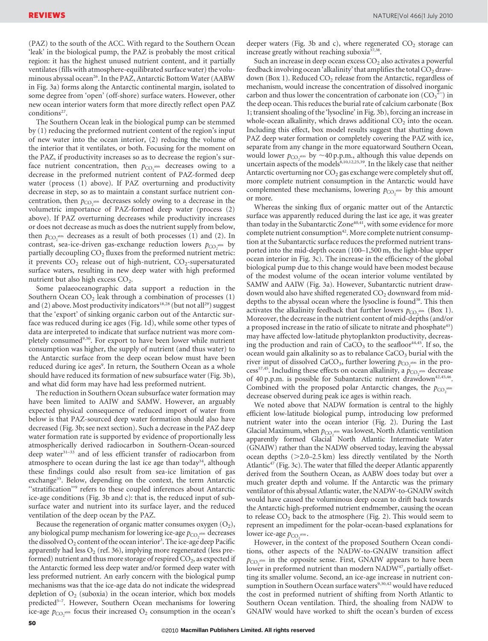(PAZ) to the south of the ACC. With regard to the Southern Ocean 'leak' in the biological pump, the PAZ is probably the most critical region: it has the highest unused nutrient content, and it partially ventilates (fills with atmosphere-equilibrated surface water) the voluminous abyssal ocean<sup>26</sup>. In the PAZ, Antarctic Bottom Water (AABW) in Fig. 3a) forms along the Antarctic continental margin, isolated to some degree from 'open' (off-shore) surface waters. However, other new ocean interior waters form that more directly reflect open PAZ conditions $27$ .

The Southern Ocean leak in the biological pump can be stemmed by (1) reducing the preformed nutrient content of the region's input of new water into the ocean interior, (2) reducing the volume of the interior that it ventilates, or both. Focusing for the moment on the PAZ, if productivity increases so as to decrease the region's surface nutrient concentration, then  $p_{CO_2^{\text{atm}}}$  decreases owing to a decrease in the preformed nutrient content of PAZ-formed deep water (process (1) above). If PAZ overturning and productivity decrease in step, so as to maintain a constant surface nutrient concentration, then  $p_{CO_2^{\text{atm}}}$  decreases solely owing to a decrease in the volumetric importance of PAZ-formed deep water (process (2) above). If PAZ overturning decreases while productivity increases or does not decrease as much as does the nutrient supply from below, then  $p_{CO_2^{\text{atm}}}$  decreases as a result of both processes (1) and (2). In contrast, sea-ice-driven gas-exchange reduction lowers  $p_{CO_2^{\text{atm}}}$  by partially decoupling  $CO<sub>2</sub>$  fluxes from the preformed nutrient metric: it prevents  $CO<sub>2</sub>$  release out of high-nutrient,  $CO<sub>2</sub>$ -supersaturated surface waters, resulting in new deep water with high preformed nutrient but also high excess CO<sub>2</sub>.

Some palaeoceanographic data support a reduction in the Southern Ocean  $CO<sub>2</sub>$  leak through a combination of processes  $(1)$ and (2) above. Most productivity indicators<sup>18,28</sup> (but not all<sup>29</sup>) suggest that the 'export' of sinking organic carbon out of the Antarctic surface was reduced during ice ages (Fig. 1d), while some other types of data are interpreted to indicate that surface nutrient was more completely consumed<sup>9,30</sup>. For export to have been lower while nutrient consumption was higher, the supply of nutrient (and thus water) to the Antarctic surface from the deep ocean below must have been reduced during ice ages<sup>9</sup>. In return, the Southern Ocean as a whole should have reduced its formation of new subsurface water (Fig. 3b), and what did form may have had less preformed nutrient.

The reduction in Southern Ocean subsurface water formation may have been limited to AAIW and SAMW. However, an arguably expected physical consequence of reduced import of water from below is that PAZ-sourced deep water formation should also have decreased (Fig. 3b; see next section). Such a decrease in the PAZ deep water formation rate is supported by evidence of proportionally less atmospherically derived radiocarbon in Southern-Ocean-sourced deep water<sup>31-33</sup> and of less efficient transfer of radiocarbon from atmosphere to ocean during the last ice age than today<sup>34</sup>, although these findings could also result from sea-ice limitation of gas exchange<sup>35</sup>. Below, depending on the context, the term Antarctic "stratification"<sup>9</sup> refers to these coupled inferences about Antarctic ice-age conditions (Fig. 3b and c): that is, the reduced input of subsurface water and nutrient into its surface layer, and the reduced ventilation of the deep ocean by the PAZ.

Because the regeneration of organic matter consumes oxygen  $(O_2)$ , any biological pump mechanism for lowering ice-age  $p_{CO_2}$ <sub>atm</sub> decreases the dissolved  $O_2$  content of the ocean interior<sup>3</sup>. The ice-age deep Pacific apparently had less  $O_2$  (ref. 36), implying more regenerated (less preformed) nutrient and thus more storage of respired  $CO<sub>2</sub>$ , as expected if the Antarctic formed less deep water and/or formed deep water with less preformed nutrient. An early concern with the biological pump mechanisms was that the ice-age data do not indicate the widespread depletion of  $O_2$  (suboxia) in the ocean interior, which box models predicted<sup>5-7</sup>. However, Southern Ocean mechanisms for lowering ice-age  $p_{CO_2^{\text{atm}}}$  focus their increased  $O_2$  consumption in the ocean's

deeper waters (Fig. 3b and c), where regenerated  $CO<sub>2</sub>$  storage can increase greatly without reaching suboxia<sup>37,38</sup>.

Such an increase in deep ocean excess  $CO<sub>2</sub>$  also activates a powerful feedback involving ocean 'alkalinity' that amplifies the total  $CO<sub>2</sub>$  drawdown (Box 1). Reduced  $CO<sub>2</sub>$  release from the Antarctic, regardless of mechanism, would increase the concentration of dissolved inorganic carbon and thus lower the concentration of carbonate ion  $(CO_3^2)$  in the deep ocean. This reduces the burial rate of calcium carbonate (Box 1; transient shoaling of the 'lysocline' in Fig. 3b), forcing an increase in whole-ocean alkalinity, which draws additional  $CO<sub>2</sub>$  into the ocean. Including this effect, box model results suggest that shutting down PAZ deep water formation or completely covering the PAZ with ice, separate from any change in the more equatorward Southern Ocean, would lower  $p_{CO_2^{\text{atm}}}$  by  $\sim$ 40 p.p.m., although this value depends on uncertain aspects of the models<sup>8,10,12,25,39</sup>. In the likely case that neither Antarctic overturning nor  $CO<sub>2</sub>$  gas exchange were completely shut off, more complete nutrient consumption in the Antarctic would have complemented these mechanisms, lowering  $p_{CO_2^{\text{atm}}}$  by this amount or more.

Whereas the sinking flux of organic matter out of the Antarctic surface was apparently reduced during the last ice age, it was greater than today in the Subantarctic Zone<sup>40,41</sup>, with some evidence for more complete nutrient consumption<sup>42</sup>. More complete nutrient consumption at the Subantarctic surface reduces the preformed nutrient transported into the mid-depth ocean (100–1,500 m, the light-blue upper ocean interior in Fig. 3c). The increase in the efficiency of the global biological pump due to this change would have been modest because of the modest volume of the ocean interior volume ventilated by SAMW and AAIW (Fig. 3a). However, Subantarctic nutrient drawdown would also have shifted regenerated  $CO<sub>2</sub>$  downward from middepths to the abyssal ocean where the lysocline is found<sup>38</sup>. This then activates the alkalinity feedback that further lowers  $p_{CO_2^{\text{atm}}}$  (Box 1). Moreover, the decrease in the nutrient content of mid-depths (and/or a proposed increase in the ratio of silicate to nitrate and phosphate<sup>43</sup>) may have affected low-latitude phytoplankton productivity, decreasing the production and rain of  $CaCO<sub>3</sub>$  to the seafloor<sup>44,45</sup>. If so, the ocean would gain alkalinity so as to rebalance CaCO<sub>3</sub> burial with the river input of dissolved CaCO<sub>3</sub>, further lowering  $p_{CO_2^{\text{atm}}}$  in the process<sup>37,45</sup>. Including these effects on ocean alkalinity, a  $p_{CO_2}^{2 \text{nm}}$  decrease of 40 p.p.m. is possible for Subantarctic nutrient drawdown<sup>42,45,46</sup>. Combined with the proposed polar Antarctic changes, the  $p_{CO_2^{\text{atm}}}$ decrease observed during peak ice ages is within reach.

We noted above that NADW formation is central to the highly efficient low-latitude biological pump, introducing low preformed nutrient water into the ocean interior (Fig. 2). During the Last Glacial Maximum, when  $p_{\text{CO}}$  atm was lowest, North Atlantic ventilation apparently formed Glacial<sup>®</sup> North Atlantic Intermediate Water (GNAIW) rather than the NADW observed today, leaving the abyssal ocean depths ( $>2.0-2.5$  km) less directly ventilated by the North Atlantic<sup>47</sup> (Fig. 3c). The water that filled the deeper Atlantic apparently derived from the Southern Ocean, as AABW does today but over a much greater depth and volume. If the Antarctic was the primary ventilator of this abyssal Atlantic water, the NADW-to-GNAIW switch would have caused the voluminous deep ocean to drift back towards the Antarctic high-preformed nutrient endmember, causing the ocean to release  $CO<sub>2</sub>$  back to the atmosphere (Fig. 2). This would seem to represent an impediment for the polar-ocean-based explanations for lower ice-age  $p_{CO_2^{\text{atm}}}.$ 

However, in the context of the proposed Southern Ocean conditions, other aspects of the NADW-to-GNAIW transition affect  $p_{CO_2}$ <sup>atm</sup> in the opposite sense. First, GNAIW appears to have been lower in preformed nutrient than modern NADW<sup>47</sup>, partially offsetting its smaller volume. Second, an ice-age increase in nutrient consumption in Southern Ocean surface waters<sup>9,30,42</sup> would have reduced the cost in preformed nutrient of shifting from North Atlantic to Southern Ocean ventilation. Third, the shoaling from NADW to GNAIW would have worked to shift the ocean's burden of excess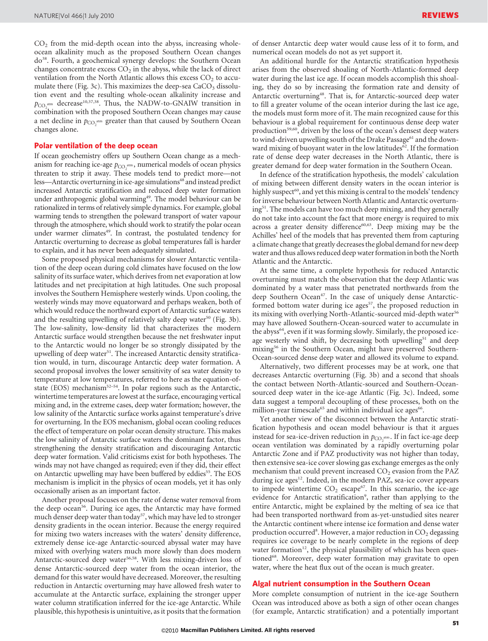$CO<sub>2</sub>$  from the mid-depth ocean into the abyss, increasing wholeocean alkalinity much as the proposed Southern Ocean changes do<sup>38</sup>. Fourth, a geochemical synergy develops: the Southern Ocean changes concentrate excess  $CO<sub>2</sub>$  in the abyss, while the lack of direct ventilation from the North Atlantic allows this excess  $CO<sub>2</sub>$  to accumulate there (Fig. 3c). This maximizes the deep-sea  $CaCO<sub>3</sub>$  dissolution event and the resulting whole-ocean alkalinity increase and  $p_{CO_2^{\text{atm}}}$  decrease<sup>10,37,38</sup>. Thus, the NADW-to-GNAIW transition in combination with the proposed Southern Ocean changes may cause a net decline in  $p_{\text{CO}_2^{\text{atm}}}$  greater than that caused by Southern Ocean changes alone.

## Polar ventilation of the deep ocean

If ocean geochemistry offers up Southern Ocean change as a mechanism for reaching ice-age  $p_{CO_2^{\text{atm}}}$ , numerical models of ocean physics threaten to strip it away. These models tend to predict more—not less—Antarctic overturning in ice-age simulations<sup>48</sup> and instead predict increased Antarctic stratification and reduced deep water formation under anthropogenic global warming<sup>49</sup>. The model behaviour can be rationalized in terms of relatively simple dynamics. For example, global warming tends to strengthen the poleward transport of water vapour through the atmosphere, which should work to stratify the polar ocean under warmer climates<sup>49</sup>. In contrast, the postulated tendency for Antarctic overturning to decrease as global temperatures fall is harder to explain, and it has never been adequately simulated.

Some proposed physical mechanisms for slower Antarctic ventilation of the deep ocean during cold climates have focused on the low salinity of its surface water, which derives from net evaporation at low latitudes and net precipitation at high latitudes. One such proposal involves the Southern Hemisphere westerly winds. Upon cooling, the westerly winds may move equatorward and perhaps weaken, both of which would reduce the northward export of Antarctic surface waters and the resulting upwelling of relatively salty deep water<sup>50</sup> (Fig. 3b). The low-salinity, low-density lid that characterizes the modern Antarctic surface would strengthen because the net freshwater input to the Antarctic would no longer be so strongly dissipated by the upwelling of deep water<sup>51</sup>. The increased Antarctic density stratification would, in turn, discourage Antarctic deep water formation. A second proposal involves the lower sensitivity of sea water density to temperature at low temperatures, referred to here as the equation-ofstate (EOS) mechanism<sup>52-54</sup>. In polar regions such as the Antarctic, wintertime temperatures are lowest at the surface, encouraging vertical mixing and, in the extreme cases, deep water formation; however, the low salinity of the Antarctic surface works against temperature's drive for overturning. In the EOS mechanism, global ocean cooling reduces the effect of temperature on polar ocean density structure. This makes the low salinity of Antarctic surface waters the dominant factor, thus strengthening the density stratification and discouraging Antarctic deep water formation. Valid criticisms exist for both hypotheses. The winds may not have changed as required; even if they did, their effect on Antarctic upwelling may have been buffered by eddies<sup>55</sup>. The EOS mechanism is implicit in the physics of ocean models, yet it has only occasionally arisen as an important factor.

Another proposal focuses on the rate of dense water removal from the deep ocean<sup>56</sup>. During ice ages, the Antarctic may have formed much denser deep water than today<sup>57</sup>, which may have led to stronger density gradients in the ocean interior. Because the energy required for mixing two waters increases with the waters' density difference, extremely dense ice-age Antarctic-sourced abyssal water may have mixed with overlying waters much more slowly than does modern Antarctic-sourced deep water<sup>56,58</sup>. With less mixing-driven loss of dense Antarctic-sourced deep water from the ocean interior, the demand for this water would have decreased. Moreover, the resulting reduction in Antarctic overturning may have allowed fresh water to accumulate at the Antarctic surface, explaining the stronger upper water column stratification inferred for the ice-age Antarctic. While plausible, this hypothesis is unintuitive, as it posits that the formation

of denser Antarctic deep water would cause less of it to form, and numerical ocean models do not as yet support it.

An additional hurdle for the Antarctic stratification hypothesis arises from the observed shoaling of North-Atlantic-formed deep water during the last ice age. If ocean models accomplish this shoaling, they do so by increasing the formation rate and density of Antarctic overturning<sup>48</sup>. That is, for Antarctic-sourced deep water to fill a greater volume of the ocean interior during the last ice age, the models must form more of it. The main recognized cause for this behaviour is a global requirement for continuous dense deep water production<sup>59,60</sup>, driven by the loss of the ocean's densest deep waters to wind-driven upwelling south of the Drake Passage<sup>61</sup> and the downward mixing of buoyant water in the low latitudes<sup>62</sup>. If the formation rate of dense deep water decreases in the North Atlantic, there is greater demand for deep water formation in the Southern Ocean.

In defence of the stratification hypothesis, the models' calculation of mixing between different density waters in the ocean interior is highly suspect<sup>60</sup>, and yet this mixing is central to the models' tendency for inverse behaviour between North Atlantic and Antarctic overturning51. The models can have too much deep mixing, and they generally do not take into account the fact that more energy is required to mix across a greater density difference<sup>60,63</sup>. Deep mixing may be the Achilles' heel of the models that has prevented them from capturing a climate change that greatly decreases the global demand for new deep water and thus allows reduced deep water formation in both the North Atlantic and the Antarctic.

At the same time, a complete hypothesis for reduced Antarctic overturning must match the observation that the deep Atlantic was dominated by a water mass that penetrated northwards from the deep Southern Ocean<sup>47</sup>. In the case of uniquely dense Antarcticformed bottom water during ice ages<sup>57</sup>, the proposed reduction in its mixing with overlying North-Atlantic-sourced mid-depth water<sup>56</sup> may have allowed Southern-Ocean-sourced water to accumulate in the abyss<sup>64</sup>, even if it was forming slowly. Similarly, the proposed iceage westerly wind shift, by decreasing both upwelling<sup>51</sup> and deep mixing<sup>56</sup> in the Southern Ocean, might have preserved Southern-Ocean-sourced dense deep water and allowed its volume to expand.

Alternatively, two different processes may be at work, one that decreases Antarctic overturning (Fig. 3b) and a second that shoals the contact between North-Atlantic-sourced and Southern-Oceansourced deep water in the ice-age Atlantic (Fig. 3c). Indeed, some data suggest a temporal decoupling of these processes, both on the million-year timescale<sup>65</sup> and within individual ice ages<sup>66</sup>.

Yet another view of the disconnect between the Antarctic stratification hypothesis and ocean model behaviour is that it argues instead for sea-ice-driven reduction in  $p_{CO_2^{\text{atm}}}$ . If in fact ice-age deep ocean ventilation was dominated by a rapidly overturning polar Antarctic Zone and if PAZ productivity was not higher than today, then extensive sea-ice cover slowing gas exchange emerges as the only mechanism that could prevent increased  $CO<sub>2</sub>$  evasion from the PAZ during ice ages<sup>12</sup>. Indeed, in the modern PAZ, sea-ice cover appears to impede wintertime  $CO_2$  escape<sup>67</sup>. In this scenario, the ice-age evidence for Antarctic stratification<sup>9</sup>, rather than applying to the entire Antarctic, might be explained by the melting of sea ice that had been transported northward from as-yet-unstudied sites nearer the Antarctic continent where intense ice formation and dense water production occurred<sup>8</sup>. However, a major reduction in CO<sub>2</sub> degassing requires ice coverage to be nearly complete in the regions of deep water formation<sup>12</sup>, the physical plausibility of which has been questioned<sup>68</sup>. Moreover, deep water formation may gravitate to open water, where the heat flux out of the ocean is much greater.

# Algal nutrient consumption in the Southern Ocean

More complete consumption of nutrient in the ice-age Southern Ocean was introduced above as both a sign of other ocean changes (for example, Antarctic stratification) and a potentially important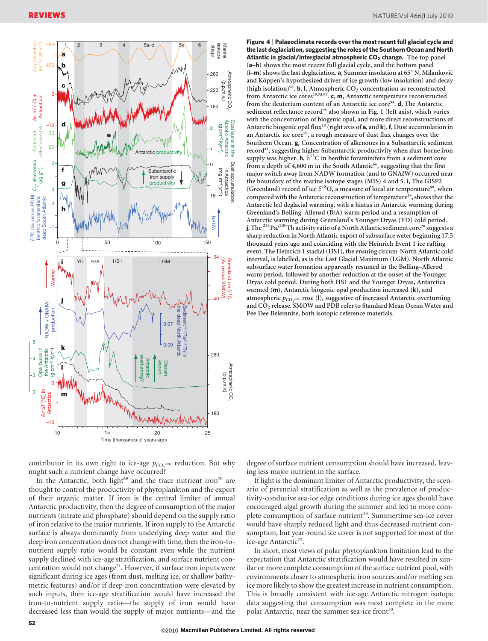

Figure 4 <sup>|</sup> Palaeoclimate records over the most recent full glacial cycle and the last deglaciation, suggesting the roles of the Southern Ocean and North Atlantic in glacial/interglacial atmospheric  $CO<sub>2</sub>$  change. The top panel (a–h) shows the most recent full glacial cycle, and the bottom panel  $(i-m)$  shows the last deglaciation. **a**, Summer insolation at 65 $\degree$  N, Milanković and Köppen's hypothesized driver of ice growth (low insolation) and decay (high isolation)<sup>96</sup>. **b**, l, Atmospheric CO<sub>2</sub> concentration as reconstructed from Antarctic ice cores<sup>19,78,97</sup>. c, m, Antarctic temperature reconstructed from the deuterium content of an Antarctic ice core<sup>94</sup>. **d**, The Antarctic sediment reflectance record<sup>95</sup> also shown in Fig. 1 (left axis), which varies with the concentration of biogenic opal, and more direct reconstructions of Antarctic biogenic opal flux<sup>18</sup> (right axis of  $e$ , and  $k$ ).  $f$ , Dust accumulation in an Antarctic ice core<sup>98</sup>, a rough measure of dust flux changes over the Southern Ocean. g, Concentration of alkenones in a Subantarctic sediment record<sup>41</sup>, suggesting higher Subantarctic productivity when dust-borne iron supply was higher. h,  $\delta^{13}$ C in benthic foraminifera from a sediment core from a depth of 4,600 m in the South Atlantic<sup>66</sup>, suggesting that the first major switch away from NADW formation (and to GNAIW) occurred near the boundary of the marine isotope stages (MIS) 4 and 5. i, The GISP2 (Greenland) record of ice  $\delta^{18}O$ , a measure of local air temperature<sup>99</sup>, when compared with the Antarctic reconstruction of temperature<sup>19</sup>, shows that the Antarctic led deglacial warming, with a hiatus in Antarctic warming during Greenland's Bølling–Allerød (B/A) warm period and a resumption of Antarctic warming during Greenland's Younger Dryas (YD) cold period. j, The  $^{231}$ Pa/ $^{230}$ Th activity ratio of a North Atlantic sediment core<sup>20</sup> suggests a sharp reduction in North Atlantic export of subsurface water beginning 17.5 thousand years ago and coinciding with the Heinrich Event 1 ice rafting event. The Heinrich 1 stadial (HS1), the ensuing circum-North Atlantic cold interval, is labelled, as is the Last Glacial Maximum (LGM). North Atlantic subsurface water formation apparently resumed in the Bølling–Allerød warm period, followed by another reduction at the onset of the Younger Dryas cold period. During both HS1 and the Younger Dryas, Antarctica warmed (m), Antarctic biogenic opal production increased (k), and atmospheric  $p_{CO_2^{\text{atm}}}$  rose (I), suggestive of increased Antarctic overturning and CO<sub>2</sub> release. SMOW and PDB refer to Standard Mean Ocean Water and Pee Dee Belemnite, both isotopic reference materials.

contributor in its own right to ice-age  $p_{\text{CO}_2^{\text{atm}}}$  reduction. But why might such a nutrient change have occurred?

In the Antarctic, both light<sup>69</sup> and the trace nutrient iron<sup>70</sup> are thought to control the productivity of phytoplankton and the export of their organic matter. If iron is the central limiter of annual Antarctic productivity, then the degree of consumption of the major nutrients (nitrate and phosphate) should depend on the supply ratio of iron relative to the major nutrients. If iron supply to the Antarctic surface is always dominantly from underlying deep water and the deep iron concentration does not change with time, then the iron-tonutrient supply ratio would be constant even while the nutrient supply declined with ice-age stratification, and surface nutrient concentration would not change<sup>71</sup>. However, if surface iron inputs were significant during ice ages (from dust, melting ice, or shallow bathymetric features) and/or if deep iron concentration were elevated by such inputs, then ice-age stratification would have increased the iron-to-nutrient supply ratio—the supply of iron would have decreased less than would the supply of major nutrients—and the degree of surface nutrient consumption should have increased, leaving less major nutrient in the surface.

If light is the dominant limiter of Antarctic productivity, the scenario of perennial stratification as well as the prevalence of productivity-conducive sea-ice edge conditions during ice ages should have encouraged algal growth during the summer and led to more complete consumption of surface nutrient<sup>29</sup>. Summertime sea-ice cover would have sharply reduced light and thus decreased nutrient consumption, but year-round ice cover is not supported for most of the ice-age Antarctic<sup>72</sup>.

In short, most views of polar phytoplankton limitation lead to the expectation that Antarctic stratification would have resulted in similar or more complete consumption of the surface nutrient pool, with environments closer to atmospheric iron sources and/or melting sea ice more likely to show the greatest increase in nutrient consumption. This is broadly consistent with ice-age Antarctic nitrogen isotope data suggesting that consumption was most complete in the more polar Antarctic, near the summer sea-ice front<sup>30</sup>.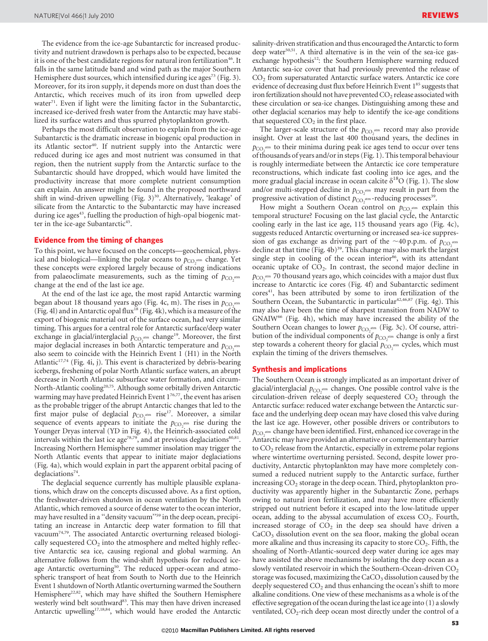The evidence from the ice-age Subantarctic for increased productivity and nutrient drawdown is perhaps also to be expected, because it is one of the best candidate regions for natural iron fertilization<sup>46</sup>. It falls in the same latitude band and wind path as the major Southern Hemisphere dust sources, which intensified during ice ages<sup>73</sup> (Fig. 3). Moreover, for its iron supply, it depends more on dust than does the Antarctic, which receives much of its iron from upwelled deep water $71$ . Even if light were the limiting factor in the Subantarctic, increased ice-derived fresh water from the Antarctic may have stabilized its surface waters and thus spurred phytoplankton growth.

Perhaps the most difficult observation to explain from the ice-age Subantarctic is the dramatic increase in biogenic opal production in its Atlantic sector<sup>40</sup>. If nutrient supply into the Antarctic were reduced during ice ages and most nutrient was consumed in that region, then the nutrient supply from the Antarctic surface to the Subantarctic should have dropped, which would have limited the productivity increase that more complete nutrient consumption can explain. An answer might be found in the proposed northward shift in wind-driven upwelling (Fig.  $3^{30}$ . Alternatively, 'leakage' of silicate from the Antarctic to the Subantarctic may have increased during ice ages<sup>43</sup>, fuelling the production of high-opal biogenic matter in the ice-age Subantarctic<sup>45</sup>.

#### Evidence from the timing of changes

To this point, we have focused on the concepts—geochemical, physical and biological—linking the polar oceans to  $p_{CO_2^{\text{atm}}}$  change. Yet these concepts were explored largely because of strong indications from palaeoclimate measurements, such as the timing of  $p_{CO_2^{\text{atm}}}$ change at the end of the last ice age.

At the end of the last ice age, the most rapid Antarctic warming began about 18 thousand years ago (Fig. 4c, m). The rises in  $p_{CO, \text{atm}}$ (Fig. 4l) and in Antarctic opal flux<sup>18</sup> (Fig. 4k), which is a measure of the export of biogenic material out of the surface ocean, had very similar timing. This argues for a central role for Antarctic surface/deep water exchange in glacial/interglacial  $p_{\text{CO}_2^{\text{atm}}}$  change<sup>19</sup>. Moreover, the first major deglacial increases in both Antarctic temperature and  $p_{CO, atm}$ also seem to coincide with the Heinrich Event 1 (H1) in the North Atlantic<sup>17,74</sup> (Fig. 4i, j). This event is characterized by debris-bearing icebergs, freshening of polar North Atlantic surface waters, an abrupt decrease in North Atlantic subsurface water formation, and circum-North-Atlantic cooling<sup>20,75</sup>. Although some orbitally driven Antarctic warming may have predated Heinrich Event  $1^{76,77}$ , the event has arisen as the probable trigger of the abrupt Antarctic changes that led to the first major pulse of deglacial  $p_{CO_2^{\text{atm}}}$  rise<sup>17</sup>. Moreover, a similar sequence of events appears to initiate the  $p_{CO_2^{\text{atm}}}$  rise during the Younger Dryas interval (YD in Fig. 4), the Heinrich-associated cold intervals within the last ice age<sup>78,79</sup>, and at previous deglaciations<sup>80,81</sup>. Increasing Northern Hemisphere summer insolation may trigger the North Atlantic events that appear to initiate major deglaciations (Fig. 4a), which would explain in part the apparent orbital pacing of deglaciations<sup>74</sup>.

The deglacial sequence currently has multiple plausible explanations, which draw on the concepts discussed above. As a first option, the freshwater-driven shutdown in ocean ventilation by the North Atlantic, which removed a source of dense water to the ocean interior, may have resulted in a "density vacuum"<sup>59</sup> in the deep ocean, precipitating an increase in Antarctic deep water formation to fill that vacuum74,79. The associated Antarctic overturning released biologically sequestered  $CO<sub>2</sub>$  into the atmosphere and melted highly reflective Antarctic sea ice, causing regional and global warming. An alternative follows from the wind-shift hypothesis for reduced iceage Antarctic overturning<sup>50</sup>. The reduced upper-ocean and atmospheric transport of heat from South to North due to the Heinrich Event 1 shutdown of North Atlantic overturning warmed the Southern Hemisphere<sup>22,82</sup>, which may have shifted the Southern Hemisphere westerly wind belt southward<sup>83</sup>. This may then have driven increased Antarctic upwelling<sup>17,18,84</sup>, which would have eroded the Antarctic salinity-driven stratification and thus encouraged the Antarctic to form deep water<sup>50,51</sup>. A third alternative is in the vein of the sea-ice gasexchange hypothesis<sup>12</sup>: the Southern Hemisphere warming reduced Antarctic sea-ice cover that had previously prevented the release of CO2 from supersaturated Antarctic surface waters. Antarctic ice core evidence of decreasing dust flux before Heinrich Event 1<sup>85</sup> suggests that iron fertilization should not have prevented  $CO<sub>2</sub>$  release associated with these circulation or sea-ice changes. Distinguishing among these and other deglacial scenarios may help to identify the ice-age conditions that sequestered  $CO<sub>2</sub>$  in the first place.

The larger-scale structure of the  $p_{CO_2^{\text{atm}}}$  record may also provide insight. Over at least the last 400 thousand years, the declines in  $p_{CO<sub>2</sub><sup>atm</sup>}$  to their minima during peak ice ages tend to occur over tens of thousands of years and/or in steps (Fig. 1). This temporal behaviour is roughly intermediate between the Antarctic ice core temperature reconstructions, which indicate fast cooling into ice ages, and the more gradual glacial increase in ocean calcite  $\delta^{18}O$  (Fig. 1). The slow and/or multi-stepped decline in  $p_{CO_2^{\text{atm}}}$  may result in part from the progressive activation of distinct  $p_{CO_2}^{\text{atm}}$ -reducing processes<sup>39</sup>.

How might a Southern Ocean control on  $p_{CO_2^{\text{atm}}}$  explain this temporal structure? Focusing on the last glacial cycle, the Antarctic cooling early in the last ice age, 115 thousand years ago (Fig. 4c), suggests reduced Antarctic overturning or increased sea-ice suppression of gas exchange as driving part of the  $\sim$ 40 p.p.m. of  $p_{CO, \text{atm}}$ decline at that time (Fig. 4b)<sup>39</sup>. This change may also mark the largest single step in cooling of the ocean interior<sup>86</sup>, with its attendant oceanic uptake of  $CO<sub>2</sub>$ . In contrast, the second major decline in  $p_{CO_2}$ <sup>atm</sup> 70 thousand years ago, which coincides with a major dust flux increase to Antarctic ice cores (Fig. 4f) and Subantarctic sediment cores<sup>41</sup>, has been attributed by some to iron fertilization of the Southern Ocean, the Subantarctic in particular<sup>42,46,87</sup> (Fig. 4g). This may also have been the time of sharpest transition from NADW to GNAIW<sup>66</sup> (Fig. 4h), which may have increased the ability of the Southern Ocean changes to lower  $p_{CO_2^{\text{atm}}}$  (Fig. 3c). Of course, attribution of the individual components of  $p_{CO_2^{\text{atm}}}$  change is only a first step towards a coherent theory for glacial  $p_{CO_2}$ <sup>atm</sup> cycles, which must explain the timing of the drivers themselves.

### Synthesis and implications

The Southern Ocean is strongly implicated as an important driver of glacial/interglacial  $p_{\text{CO}_2^{\text{atm}}}$  changes. One possible control valve is the circulation-driven release of deeply sequestered  $CO<sub>2</sub>$  through the Antarctic surface: reduced water exchange between the Antarctic surface and the underlying deep ocean may have closed this valve during the last ice age. However, other possible drivers or contributors to  $p_{\text{CO}_2}$ <sup>atm</sup> change have been identified. First, enhanced ice coverage in the Antarctic may have provided an alternative or complementary barrier to  $CO<sub>2</sub>$  release from the Antarctic, especially in extreme polar regions where wintertime overturning persisted. Second, despite lower productivity, Antarctic phytoplankton may have more completely consumed a reduced nutrient supply to the Antarctic surface, further increasing  $CO<sub>2</sub>$  storage in the deep ocean. Third, phytoplankton productivity was apparently higher in the Subantarctic Zone, perhaps owing to natural iron fertilization, and may have more efficiently stripped out nutrient before it escaped into the low-latitude upper ocean, adding to the abyssal accumulation of excess  $CO<sub>2</sub>$ . Fourth, increased storage of  $CO<sub>2</sub>$  in the deep sea should have driven a  $CaCO<sub>3</sub>$  dissolution event on the sea floor, making the global ocean more alkaline and thus increasing its capacity to store  $CO<sub>2</sub>$ . Fifth, the shoaling of North-Atlantic-sourced deep water during ice ages may have assisted the above mechanisms by isolating the deep ocean as a slowly ventilated reservoir in which the Southern-Ocean-driven  $CO<sub>2</sub>$ storage was focused, maximizing the  $CaCO<sub>3</sub>$  dissolution caused by the deeply sequestered  $CO<sub>2</sub>$  and thus enhancing the ocean's shift to more alkaline conditions. One view of these mechanisms as a whole is of the effective segregation of the ocean during the last ice age into (1) a slowly ventilated,  $CO_2$ -rich deep ocean most directly under the control of a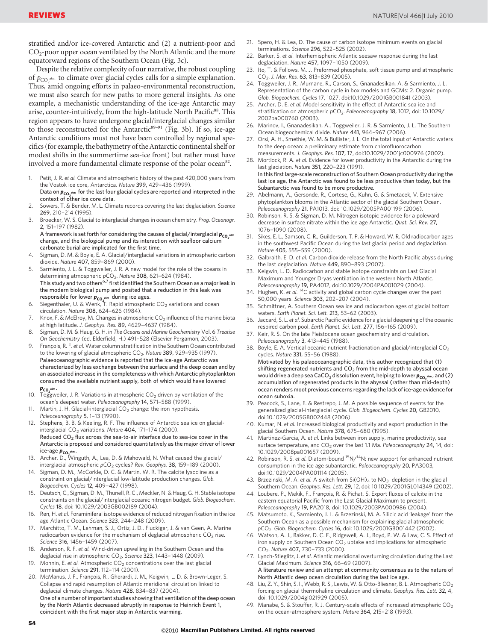stratified and/or ice-covered Antarctic and (2) a nutrient-poor and CO<sub>2</sub>-poor upper ocean ventilated by the North Atlantic and the more equatorward regions of the Southern Ocean (Fig. 3c).

Despite the relative complexity of our narrative, the robust coupling of  $p_{CO_2^{\text{atm}}}$  to climate over glacial cycles calls for a simple explanation. Thus, amid ongoing efforts in palaeo-environmental reconstruction, we must also search for new paths to more general insights. As one example, a mechanistic understanding of the ice-age Antarctic may arise, counter-intuitively, from the high-latitude North Pacific<sup>88</sup>. This region appears to have undergone glacial/interglacial changes similar to those reconstructed for the Antarctic $89-91$  (Fig. 3b). If so, ice-age Antarctic conditions must not have been controlled by regional specifics (for example, the bathymetry of the Antarctic continental shelf or modest shifts in the summertime sea-ice front) but rather must have involved a more fundamental climate response of the polar ocean<sup>52</sup>.

- 1. Petit, J. R. et al. Climate and atmospheric history of the past 420,000 years from the Vostok ice core, Antarctica. Nature 399, 429–436 (1999). Data on  $\bm{p_{\mathbf{CO}}}$  , "m for the last four glacial cycles are reported and interpreted in the<br>context of other ice core data.
- 2. Sowers, T. & Bender, M. L. Climate records covering the last deglaciation. Science 269, 210–214 (1995).
- Broecker, W. S. Glacial to interglacial changes in ocean chemistry. Prog. Oceanogr. 2, 151–197 (1982).

A framework is set forth for considering the causes of glacial/interglacial  $p_{\mathsf{co}_2}$  atm change, and the biological pump and its interaction with seafloor calcium carbonate burial are implicated for the first time.

- 4. Sigman, D. M. & Boyle, E. A. Glacial/interglacial variations in atmospheric carbon dioxide. Nature 407, 859–869 (2000).
- Sarmiento, J. L. & Toggweiler, J. R. A new model for the role of the oceans in determining atmospheric pCO<sub>2</sub>. Nature 308, 621-624 (1984). This study and two others<sup>6,7</sup> first identified the Southern Ocean as a major leak in the modern biological pump and posited that a reduction in this leak was
- responsible for lower  $\mathbf{p}_{\mathsf{CO}_2^\mathtt{atm}}$  during ice ages.<br>6. Siegenthaler, U. & Wenk, T. Rapid atmospheric CO<sub>2</sub> variations and ocean circulation. Nature 308, 624–626 (1984).
- 7. Knox, F. & McElroy, M. Changes in atmospheric  $CO<sub>2</sub>$  influence of the marine biota at high latitude. J. Geophys. Res. 89, 4629–4637 (1984).
- Sigman, D. M. & Haug, G. H. in The Oceans and Marine Geochemistry Vol. 6 Treatise On Geochemistry (ed. Elderfield, H.) 491–528 (Elsevier Pergamon, 2003).
- François, R. F. et al. Water column stratification in the Southern Ocean contributed to the lowering of glacial atmospheric  $CO<sub>2</sub>$ . Nature 389, 929-935 (1997). Palaeoceanographic evidence is reported that the ice-age Antarctic was characterized by less exchange between the surface and the deep ocean and by an associated increase in the completeness with which Antarctic phytoplankton consumed the available nutrient supply, both of which would have lowered  $p_{CO_2}$ <sub>atm</sub>.
- 10. Toggweiler, J. R. Variations in atmospheric  $CO<sub>2</sub>$  driven by ventilation of the ocean's deepest water. Paleoceanography 14, 571–588 (1999).
- 11. Martin, J. H. Glacial-interglacial  $CO<sub>2</sub>$  change: the iron hypothesis. Paleoceanography 5, 1-13 (1990).
- Stephens, B. B. & Keeling, R. F. The influence of Antarctic sea ice on glacialinterglacial  $CO<sub>2</sub>$  variations. Nature 404, 171-174 (2000). Reduced  $CO<sub>2</sub>$  flux across the sea-to-air interface due to sea-ice cover in the Antarctic is proposed and considered quantitatively as the major driver of lower
- ice-age  $p_{co,2^{nm}}$ .<br>13. Archer, D., Winguth, A., Lea, D. & Mahowald, N. What caused the glacial/<br>13. interglacial atmospheric pCO<sub>2</sub> cycles? Rev. Geophys. **38,** 159–189 (2000).
- 14. Sigman, D. M., McCorkle, D. C. & Martin, W. R. The calcite lysocline as a constraint on glacial/interglacial low-latitude production changes. Glob. Biogeochem. Cycles 12, 409–427 (1998).
- 15. Deutsch, C., Sigman, D. M., Thunell, R. C., Meckler, N. & Haug, G. H. Stable isotope constraints on the glacial/interglacial oceanic nitrogen budget. Glob. Biogeochem. Cycles 18, doi: 10.1029/2003GB002189 (2004).
- 16. Ren, H. et al. Foraminiferal isotope evidence of reduced nitrogen fixation in the ice age Atlantic Ocean. Science 323, 244–248 (2009).
- 17. Marchitto, T. M., Lehman, S. J., Ortiz, J. D., Fluckiger, J. & van Geen, A. Marine radiocarbon evidence for the mechanism of deglacial atmospheric  $CO<sub>2</sub>$  rise. Science 316, 1456–1459 (2007).
- 18. Anderson, R. F. et al. Wind-driven upwelling in the Southern Ocean and the deglacial rise in atmospheric  $CO<sub>2</sub>$ . Science 323, 1443-1448 (2009).
- 19. Monnin, E. et al. Atmospheric  $CO<sub>2</sub>$  concentrations over the last glacial termination. Science 291, 112–114 (2001).

20. McManus, J. F., François, R., Gherardi, J. M., Keigwin, L. D. & Brown-Leger, S. Collapse and rapid resumption of Atlantic meridional circulation linked to deglacial climate changes. Nature 428, 834–837 (2004). One of a number of important studies showing that ventilation of the deep ocean by the North Atlantic decreased abruptly in response to Heinrich Event 1, coincident with the first major step in Antarctic warming.

- 21. Spero, H. & Lea, D. The cause of carbon isotope minimum events on glacial terminations. Science 296, 522–525 (2002).
- Barker, S. et al. Interhemispheric Atlantic seesaw response during the last deglaciation. Nature 457, 1097–1050 (2009).
- 23. Ito, T. & Follows, M. J. Preformed phosphate, soft tissue pump and atmospheric CO<sub>2</sub>. J. Mar. Res. 63, 813-839 (2005).
- 24. Toggweiler, J. R., Murnane, R., Carson, S., Gnanadesikan, A. & Sarmiento, J. L. Representation of the carbon cycle in box models and GCMs: 2. Organic pump. Glob. Biogeochem. Cycles 17, 1027, doi:10.1029/2001GB001841 (2003).
- 25. Archer, D. E. et al. Model sensitivity in the effect of Antarctic sea ice and stratification on atmospheric pCO<sub>2</sub>. Paleoceanography 18, 1012, doi: 10.1029/ 2002pa000760 (2003).
- 26. Marinov, I., Gnanadesikan, A., Toggweiler, J. R. & Sarmiento, J. L. The Southern Ocean biogeochemical divide. Nature 441, 964–967 (2006).
- 27. Orsi, A. H., Smethie, W. M. & Bullister, J. L. On the total input of Antarctic waters to the deep ocean: a preliminary estimate from chlorofluorocarbon measurements. J. Geophys. Res. 107, 17, doi:10.1029/2001jc000976 (2002).
- 28. Mortlock, R. A. et al. Evidence for lower productivity in the Antarctic during the last glaciation. Nature 351, 220–223 (1991). In this first large-scale reconstruction of Southern Ocean productivity during the last ice age, the Antarctic was found to be less productive than today, but the
- Subantarctic was found to be more productive. 29. Abelmann, A., Gersonde, R., Cortese, G., Kuhn, G. & Smetacek, V. Extensive phytoplankton blooms in the Atlantic sector of the glacial Southern Ocean. Paleoceanography 21, PA1013, doi: 10.1029/2005PA001199 (2006).
- 30. Robinson, R. S. & Sigman, D. M. Nitrogen isotopic evidence for a poleward decrease in surface nitrate within the ice age Antarctic. Quat. Sci. Rev. 27, 1076–1090 (2008).
- 31. Sikes, E. L., Samson, C. R., Guilderson, T. P. & Howard, W. R. Old radiocarbon ages in the southwest Pacific Ocean during the last glacial period and deglaciation. Nature 405, 555–559 (2000).
- 32. Galbraith, E. D. et al. Carbon dioxide release from the North Pacific abyss during the last deglaciation. Nature 449, 890-893 (2007).
- 33. Keigwin, L. D. Radiocarbon and stable isotope constraints on Last Glacial Maximum and Younger Dryas ventilation in the western North Atlantic.
- Paleoceanography 19, PA4012, doi:10.1029/2004PA001029 (2004).<br>34. Hughen, K. et al. <sup>14</sup>C activity and global carbon cycle changes over the past 50,000 years. Science 303, 202–207 (2004).
- 35. Schmittner, A. Southern Ocean sea ice and radiocarbon ages of glacial bottom waters. Earth Planet. Sci. Lett. 213, 53–62 (2003).
- 36. Jaccard, S. L. et al. Subarctic Pacific evidence for a glacial deepening of the oceanic respired carbon pool. Earth Planet. Sci. Lett. 277, 156–165 (2009).
- 37. Keir, R. S. On the late Pleistocene ocean geochemistry and circulation. Paleoceanography 3, 413–445 (1988).
- 38. Boyle, E. A. Vertical oceanic nutrient fractionation and glacial/interglacial CO<sub>2</sub> cycles. Nature 331, 55–56 (1988).
	- Motivated by his palaeoceanographic data, this author recognized that (1) shifting regenerated nutrients and  $CO<sub>2</sub>$  from the mid-depth to abyssal ocean would drive a deep sea CaCO<sub>3</sub> dissolution event, helping to lower **p<sub>co<sub>s</sub>\*\*\*, and (2)**<br>accumulation of regenerated products in the abyssal (rather than mid-depth)</sub> ocean renders moot previous concerns regarding the lack of ice-age evidence for ocean suboxia.
- 39. Peacock, S., Lane, E. & Restrepo, J. M. A possible sequence of events for the generalized glacial-interglacial cycle. Glob. Biogeochem. Cycles 20, GB2010, doi:10.1029/2005GB002448 (2006).
- 40. Kumar, N. et al. Increased biological productivity and export production in the glacial Southern Ocean. Nature 378, 675–680 (1995).
- 41. Martinez-Garcia, A. et al. Links between iron supply, marine productivity, sea surface temperature, and  $CO<sub>2</sub>$  over the last 1.1 Ma. Paleoceanography 24, 14, doi: 10.1029/2008pa001657 (2009).
- 42. Robinson, R. S. et al. Diatom-bound  ${}^{15}N/{}^{14}N$ : new support for enhanced nutrient consumption in the ice age subantarctic. Paleoceanography 20, PA3003, doi:10.1029/2004PA001114 (2005).
- 43. Brzezinski, M. A. et al. A switch from  $Si(OH)_4$  to  $NO_3^-$  depletion in the glacial Southern Ocean. Geophys. Res. Lett. 29, 12, doi: 10.1029/2001GL014349 (2002).
- 44. Loubere, P., Mekik, F., François, R. & Pichat, S. Export fluxes of calcite in the eastern equatorial Pacific from the Last Glacial Maximum to present. Paleoceanography 19, PA2018, doi: 10.1029/2003PA000986 (2004).
- 45. Matsumoto, K., Sarmiento, J. L. & Brzezinski, M. A. Silicic acid 'leakage' from the Southern Ocean as a possible mechanism for explaining glacial atmospheric pCO2. Glob. Biogeochem. Cycles 16, doi: 10.1029/2001GB001442 (2002).
- 46. Watson, A. J., Bakker, D. C. E., Ridgewell, A. J., Boyd, P. W. & Law, C. S. Effect of iron supply on Southern Ocean  $CO<sub>2</sub>$  uptake and implications for atmospheric CO<sub>2</sub>. Nature 407, 730-733 (2000).
- 47. Lynch-Stieglitz, J. et al. Atlantic meridional overturning circulation during the Last Glacial Maximum. Science 316, 66–69 (2007). A literature review and an attempt at community consensus as to the nature of North Atlantic deep ocean circulation during the last ice age.
- 48. Liu, Z. Y., Shin, S. I., Webb, R. S., Lewis, W. & Otto-Bliesner, B. L. Atmospheric CO<sub>2</sub> forcing on glacial thermohaline circulation and climate. Geophys. Res. Lett. 32, 4, doi: 10.1029/2004gl021929 (2005).
- 49. Manabe, S. & Stouffer, R. J. Century-scale effects of increased atmospheric  $CO<sub>2</sub>$ on the ocean-atmosphere system. Nature 364, 215–218 (1993).